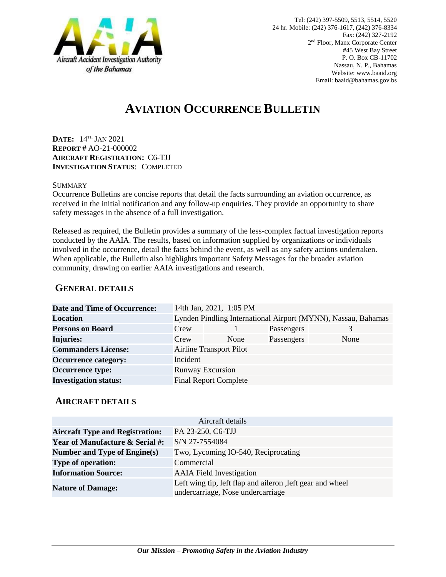

# **AVIATION OCCURRENCE BULLETIN**

**DATE:** 14TH JAN 2021 **REPORT #** AO-21-000002 **AIRCRAFT REGISTRATION:** C6-TJJ **INVESTIGATION STATUS**: COMPLETED

#### **SUMMARY**

Occurrence Bulletins are concise reports that detail the facts surrounding an aviation occurrence, as received in the initial notification and any follow-up enquiries. They provide an opportunity to share safety messages in the absence of a full investigation*.*

Released as required, the Bulletin provides a summary of the less-complex factual investigation reports conducted by the AAIA. The results, based on information supplied by organizations or individuals involved in the occurrence, detail the facts behind the event, as well as any safety actions undertaken. When applicable, the Bulletin also highlights important Safety Messages for the broader aviation community, drawing on earlier AAIA investigations and research.

### **GENERAL DETAILS**

| <b>Date and Time of Occurrence:</b> |                                                               | 14th Jan, 2021, 1:05 PM      |            |      |
|-------------------------------------|---------------------------------------------------------------|------------------------------|------------|------|
| <b>Location</b>                     | Lynden Pindling International Airport (MYNN), Nassau, Bahamas |                              |            |      |
| <b>Persons on Board</b>             | Crew                                                          |                              | Passengers | 3    |
| <b>Injuries:</b>                    | Crew                                                          | None                         | Passengers | None |
| <b>Commanders License:</b>          | <b>Airline Transport Pilot</b>                                |                              |            |      |
| <b>Occurrence category:</b>         | Incident                                                      |                              |            |      |
| <b>Occurrence type:</b>             | <b>Runway Excursion</b>                                       |                              |            |      |
| <b>Investigation status:</b>        |                                                               | <b>Final Report Complete</b> |            |      |

#### **AIRCRAFT DETAILS**

|                                            | Aircraft details                                                                               |  |  |
|--------------------------------------------|------------------------------------------------------------------------------------------------|--|--|
| <b>Aircraft Type and Registration:</b>     | PA 23-250, C6-TJJ                                                                              |  |  |
| <b>Year of Manufacture &amp; Serial #:</b> | S/N 27-7554084                                                                                 |  |  |
| Number and Type of Engine(s)               | Two, Lycoming IO-540, Reciprocating                                                            |  |  |
| <b>Type of operation:</b>                  | Commercial                                                                                     |  |  |
| <b>Information Source:</b>                 | <b>AAIA</b> Field Investigation                                                                |  |  |
| <b>Nature of Damage:</b>                   | Left wing tip, left flap and aileron, left gear and wheel<br>undercarriage, Nose undercarriage |  |  |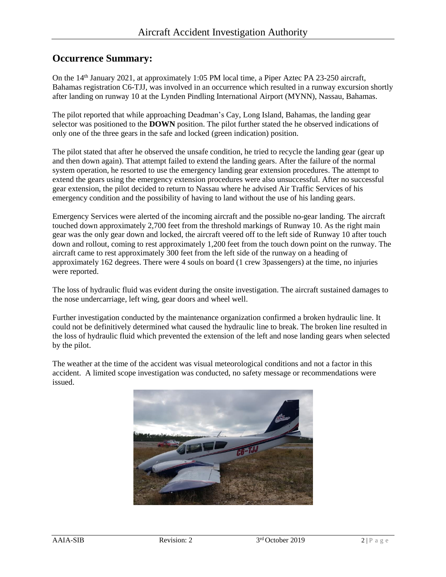## **Occurrence Summary:**

On the 14<sup>th</sup> January 2021, at approximately 1:05 PM local time, a Piper Aztec PA 23-250 aircraft, Bahamas registration C6-TJJ, was involved in an occurrence which resulted in a runway excursion shortly after landing on runway 10 at the Lynden Pindling International Airport (MYNN), Nassau, Bahamas.

The pilot reported that while approaching Deadman's Cay, Long Island, Bahamas, the landing gear selector was positioned to the **DOWN** position. The pilot further stated the he observed indications of only one of the three gears in the safe and locked (green indication) position.

The pilot stated that after he observed the unsafe condition, he tried to recycle the landing gear (gear up and then down again). That attempt failed to extend the landing gears. After the failure of the normal system operation, he resorted to use the emergency landing gear extension procedures. The attempt to extend the gears using the emergency extension procedures were also unsuccessful. After no successful gear extension, the pilot decided to return to Nassau where he advised Air Traffic Services of his emergency condition and the possibility of having to land without the use of his landing gears.

Emergency Services were alerted of the incoming aircraft and the possible no-gear landing. The aircraft touched down approximately 2,700 feet from the threshold markings of Runway 10. As the right main gear was the only gear down and locked, the aircraft veered off to the left side of Runway 10 after touch down and rollout, coming to rest approximately 1,200 feet from the touch down point on the runway. The aircraft came to rest approximately 300 feet from the left side of the runway on a heading of approximately 162 degrees. There were 4 souls on board (1 crew 3passengers) at the time, no injuries were reported.

The loss of hydraulic fluid was evident during the onsite investigation. The aircraft sustained damages to the nose undercarriage, left wing, gear doors and wheel well.

Further investigation conducted by the maintenance organization confirmed a broken hydraulic line. It could not be definitively determined what caused the hydraulic line to break. The broken line resulted in the loss of hydraulic fluid which prevented the extension of the left and nose landing gears when selected by the pilot.

The weather at the time of the accident was visual meteorological conditions and not a factor in this accident. A limited scope investigation was conducted, no safety message or recommendations were issued.